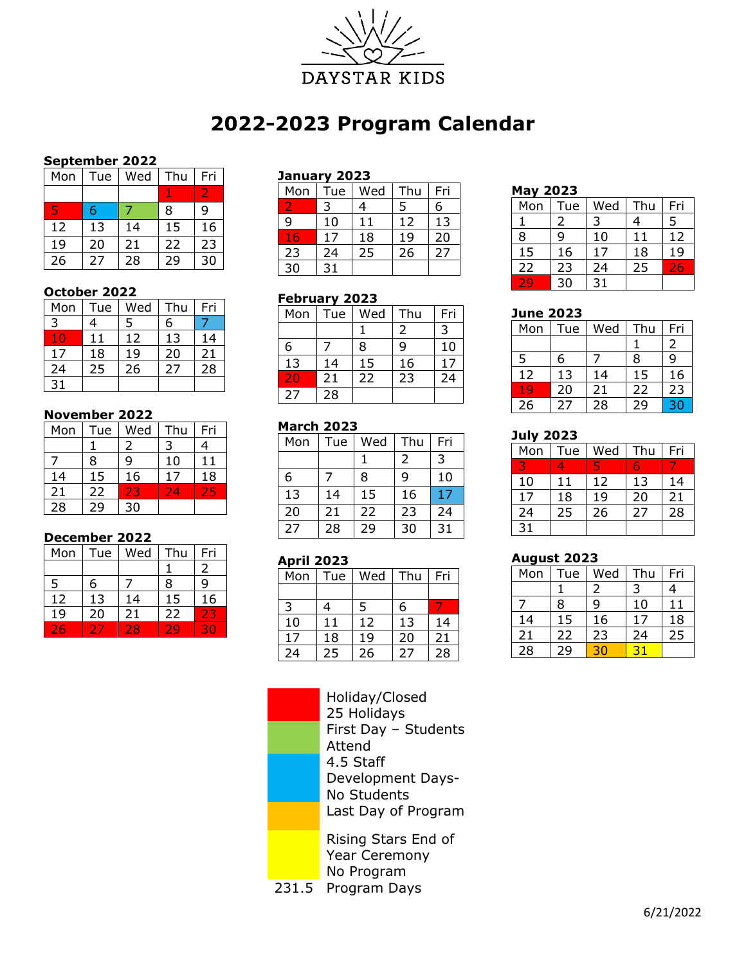

# **2022-2023 Program Calendar**

## **September 2022**

| Mon | Tue | Wed | Thu | Fri |
|-----|-----|-----|-----|-----|
|     |     |     |     |     |
| 47  | 6   |     | 8   | ٩   |
| 12  | 13  | 14  | 15  | 16  |
| 19  | 20  | 21  | 22  | 23  |
| 26  | 27  | 28  | 29  | 30  |

#### **October 2022**

| Mon | Tue | Wed | Thu | Fri |
|-----|-----|-----|-----|-----|
| 3   | 4   | 5   | 6   |     |
| 10  | 11  | 12  | 13  | 14  |
| 17  | 18  | 19  | 20  | 21  |
| 24  | 25  | 26  | 27  | 28  |
| 31  |     |     |     |     |

### **November 2022**

| Mon             | Tue | Wed | Thu | Fri             |
|-----------------|-----|-----|-----|-----------------|
|                 |     | 2   | 3   |                 |
|                 | 8   | q   | 10  | 11              |
| 14              | 15  | 16  | 17  | $\overline{1}8$ |
| 21              | 22  | 23  | 24  | 25              |
| $\overline{28}$ |     | 30  |     |                 |

### **December 2022**

| Mon | Tue | Wed | Thu | Fri |
|-----|-----|-----|-----|-----|
|     |     |     |     |     |
| 5   | 6   |     | 8   | q   |
| 12  | 13  | 14  | 15  | 16  |
| 19  | 20  | 21  | 22  | 23  |
|     |     | 28  |     |     |

## **January 2023**

| Mon | Tue | Wed | Thu | Fri |
|-----|-----|-----|-----|-----|
|     |     |     | 5   | 6   |
| 9   | 10  | 11  | 12  | 13  |
| 16  | 17  | 18  | 19  | 20  |
| 23  | 24  | 25  | 26  | 27  |
| 30  | 31  |     |     |     |

# **February 2023**

| Mon | Tue | Wed | Thu | Fri |
|-----|-----|-----|-----|-----|
|     |     |     | 2   | 3   |
| 6   |     | 8   | ٩   | 10  |
| 13  | 14  | 15  | 16  | 17  |
| 20  | 21  | 22  | 23  | 24  |
| 27  | 28  |     |     |     |

### **March 2023**

| Mon | Tue | Wed | Thu | Fri |
|-----|-----|-----|-----|-----|
|     |     |     | 2   | 3   |
| 6   |     | 8   | ٩   | 10  |
| 13  | 14  | 15  | 16  | 17  |
| 20  | 21  | 22  | 23  | 24  |
| 27  | 28  | 29  | 30  | 31  |

### **April 2023**

| Mon | Tue | Wed | Thu | Fri |
|-----|-----|-----|-----|-----|
|     |     |     |     |     |
| 3   | 4   | 5   | 6   |     |
| 10  | 11  | 12  | 13  | 14  |
| 17  | 18  | 19  | 20  | 21  |
| 24  | 25  | 26  | 27  | 28  |

Holiday/Closed Holidays First Day – Students Attend 4.5 Staff Development Days-No Students Last Day of Program

Rising Stars End of Year Ceremony No Program

231.5 Program Days

#### **May 2023**

| Mon | Tue | Wed | Thu | Fri       |
|-----|-----|-----|-----|-----------|
|     |     | 3   | 4   | 5         |
| 8   | ٩   | 10  | 11  | 12        |
| 15  | 16  | 17  | 18  | 19        |
| 22  | 23  | 24  | 25  | <b>TA</b> |
|     | 30  | 31  |     |           |

## **June 2023**

| Mon | Tue | Wed | Thu | Fri |
|-----|-----|-----|-----|-----|
|     |     |     |     | 2   |
| 5   | 6   |     | 8   | q   |
| 12  | 13  | 14  | 15  | 16  |
| 19  | 20  | 21  | 22  | 23  |
| 26  | 27  | 28  | 29  | 30  |

# **July 2023**

| Mon | Tue | Wed | Thu | Fri |
|-----|-----|-----|-----|-----|
|     |     |     |     |     |
| 10  | 11  | 12  | 13  | 14  |
| 17  | 18  | 19  | 20  | 21  |
| 24  | 25  | 26  | 27  | 28  |
| 31  |     |     |     |     |

### **August 2023**

| Mon             | Tue | Wed | Thu | Fri |
|-----------------|-----|-----|-----|-----|
|                 |     | 2   | 3   |     |
|                 | 8   | 9   | 10  | 11  |
| 14              | 15  | 16  | 17  | 18  |
| 21              | 22  | 23  | 24  | 25  |
| $\overline{28}$ | 29  |     |     |     |